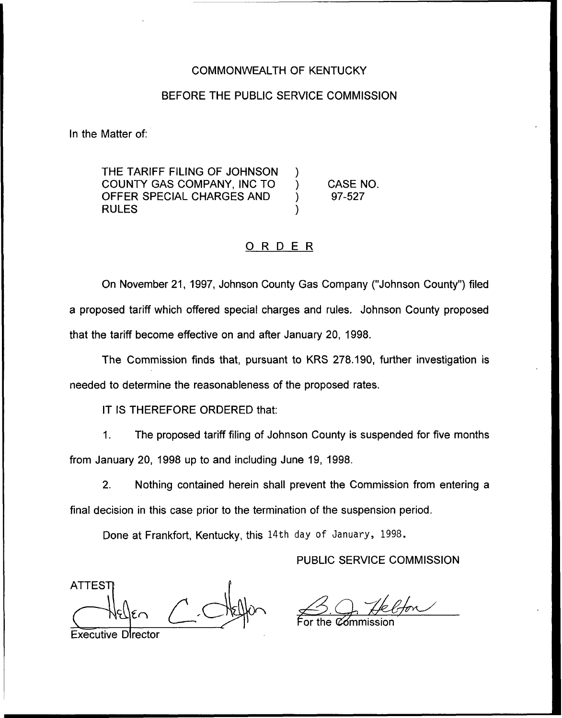### COMMONWEALTH OF KENTUCKY

### BEFORE THE PUBLIC SERVICE COMMISSION

In the Matter of:

THE TARIFF FILING OF JOHNSON COUNTY GAS COMPANY, INC TO ) OFFER SPECIAL CHARGES AND ) **RULES** 

CASE NO. 97-527

### ORDER

On November 21, 1997, Johnson County Gas Company ("Johnson County") filed a proposed tariff which offered special charges and rules. Johnson County proposed that the tariff become effective on and after January 20, 1998.

The Commission finds that, pursuant to KRS 278.190, further investigation is needed to determine the reasonableness of the proposed rates.

IT IS THEREFORE ORDERED that:

The proposed tariff filing of Johnson County is suspended for five months  $\mathbf{1}$ . from January 20, 1998 up to and including June 19, 1998.

2. Nothing contained herein shall prevent the Commission from entering a final decision in this case prior to the termination of the suspension period.

Done at Frankfort, Kentucky, this 14th day of January, 1998.

PUBLIC SERVICE COMMISSION

**ATTEST** 

For the  $\mathfrak C$ ómmissic

Executive Director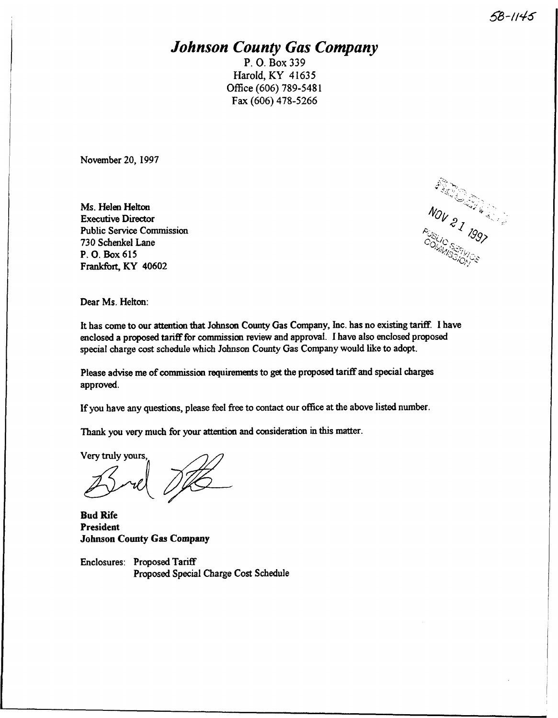### **Johnson County Gas Company**

P. O. Box 339 Harold, KY 41635 Office (606) 789-5481 Fax (606) 478-5266

November 20, 1997

Ms. Helen Helton Executive Director Public Service Commission 730 Schenkel Lane P. O. Box 615 Frankfort, KY 40602

 $\mathbb{R}$ c

Dear Ms. Helton:

It has come to our attention that Johnson County Gas Company, Inc. has no existing tariff. I have enclosed a proposed tardF for commission review and approval. I have also enclosed proposed special charge cost schedule which Johnson County Gas Company would like to adopt.

Please advise me of commission requiremerts to get the proposed tarifF and special charges approved.

If you have any questions, please feel free to contact our office at the above listed number.

Thank you very much for your attention and consideration in this matter.

Very truly yours,

Bud Rife President Johnson County Gas Company

Enclosures: Proposed TarifF Proposed Special Charge Cost Schedule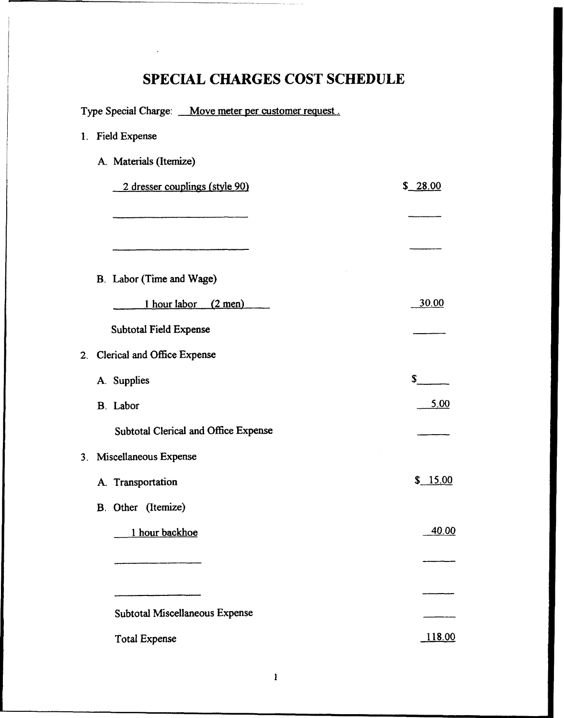| Type Special Charge: Move meter per customer request. |               |
|-------------------------------------------------------|---------------|
| 1. Field Expense                                      |               |
| A. Materials (Itemize)                                |               |
| 2 dresser couplings (style 90)                        | \$ 28.00      |
|                                                       |               |
|                                                       |               |
| B. Labor (Time and Wage)                              |               |
| 1 hour labor (2 men)                                  | <u>30.00</u>  |
| Subtotal Field Expense                                |               |
| Clerical and Office Expense<br>2.                     |               |
| A. Supplies                                           | \$            |
| B. Labor                                              | <u>5.00</u>   |
| Subtotal Clerical and Office Expense                  |               |
| 3. Miscellaneous Expense                              |               |
| A. Transportation                                     | \$15.00       |
| B. Other (Itemize)                                    |               |
| 1 hour backhoe                                        | 40.00         |
|                                                       |               |
| Subtotal Miscellaneous Expense                        |               |
| <b>Total Expense</b>                                  | <u>118.00</u> |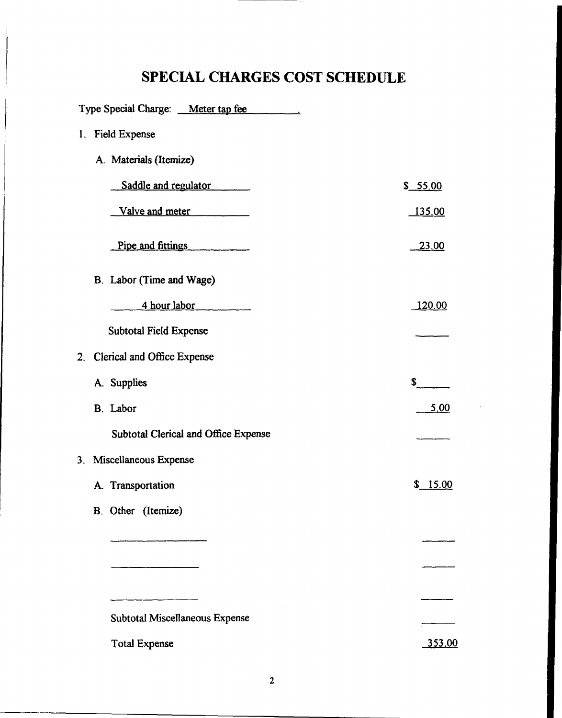| Type Special Charge: Meter tap fee   |               |
|--------------------------------------|---------------|
| <b>Field Expense</b><br>$1_{-}$      |               |
| A. Materials (Itemize)               |               |
| Saddle and regulator                 | \$ 55.00      |
| Valve and meter                      | <u>135.00</u> |
| Pipe and fittings                    | <u>23.00</u>  |
| B. Labor (Time and Wage)             |               |
| 4 hour labor                         | <u>120.00</u> |
| <b>Subtotal Field Expense</b>        |               |
| Clerical and Office Expense<br>2.    |               |
| A. Supplies                          | \$            |
| B. Labor                             | <u>5.00</u>   |
| Subtotal Clerical and Office Expense |               |
| 3. Miscellaneous Expense             |               |
| A. Transportation                    | \$15.00       |
| B. Other (Itemize)                   |               |
|                                      |               |
|                                      |               |
|                                      |               |
| Subtotal Miscellaneous Expense       |               |
| <b>Total Expense</b>                 | 353.00        |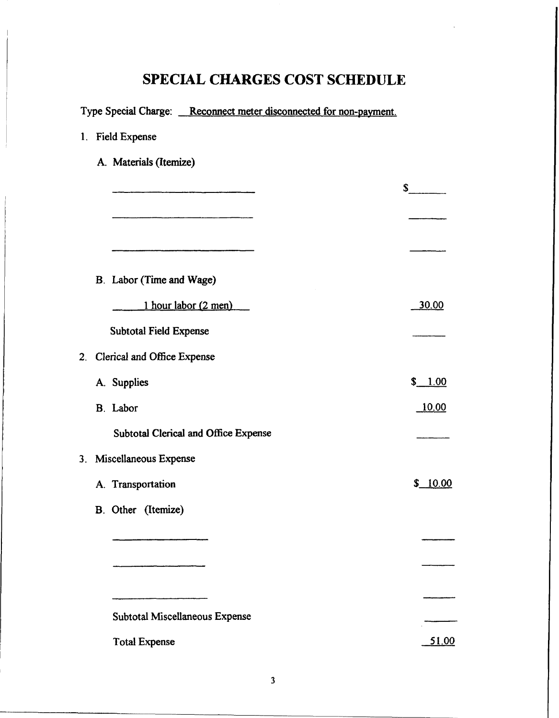| Type Special Charge: Reconnect meter disconnected for non-payment. |         |
|--------------------------------------------------------------------|---------|
| 1. Field Expense                                                   |         |
| A. Materials (Itemize)                                             |         |
|                                                                    | s       |
|                                                                    |         |
|                                                                    |         |
|                                                                    |         |
| B. Labor (Time and Wage)                                           |         |
| 1 hour labor (2 men)                                               | 30.00   |
| <b>Subtotal Field Expense</b>                                      |         |
| 2. Clerical and Office Expense                                     |         |
| A. Supplies                                                        | \$1.00  |
| B. Labor                                                           | 10.00   |
| Subtotal Clerical and Office Expense                               |         |
| 3. Miscellaneous Expense                                           |         |
| A. Transportation                                                  | \$10.00 |
| B. Other (Itemize)                                                 |         |
|                                                                    |         |
|                                                                    |         |
|                                                                    |         |
| Subtotal Miscellaneous Expense                                     |         |
| <b>Total Expense</b>                                               | 51.00   |
|                                                                    |         |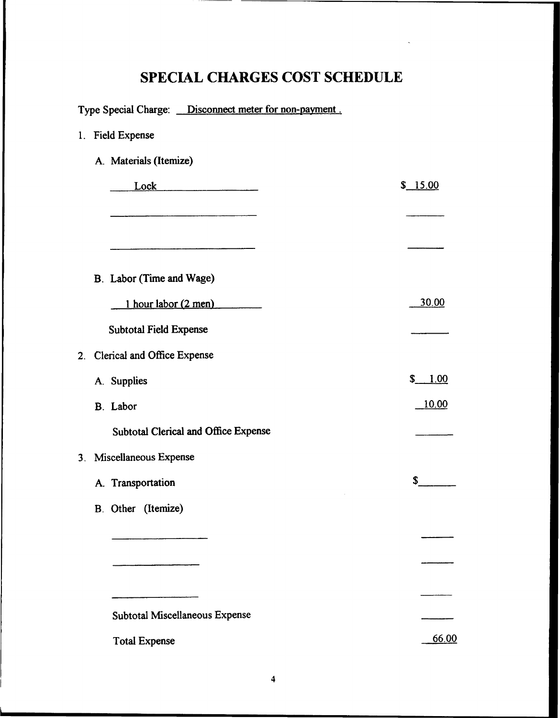|  | Type Special Charge: <b>Disconnect meter for non-payment</b> . |              |
|--|----------------------------------------------------------------|--------------|
|  | 1. Field Expense                                               |              |
|  | A. Materials (Itemize)                                         |              |
|  | Lock                                                           | \$ 15.00     |
|  |                                                                |              |
|  |                                                                |              |
|  | B. Labor (Time and Wage)                                       |              |
|  | 1 hour labor (2 men)                                           | <u>30.00</u> |
|  | <b>Subtotal Field Expense</b>                                  |              |
|  | 2. Clerical and Office Expense                                 |              |
|  | A. Supplies                                                    | \$<br>1.00   |
|  | B. Labor                                                       | <u>10.00</u> |
|  | Subtotal Clerical and Office Expense                           |              |
|  | 3. Miscellaneous Expense                                       |              |
|  | A. Transportation                                              | S            |
|  | B. Other (Itemize)                                             |              |
|  |                                                                |              |
|  |                                                                |              |
|  |                                                                |              |
|  | Subtotal Miscellaneous Expense                                 |              |
|  | <b>Total Expense</b>                                           | 66.00        |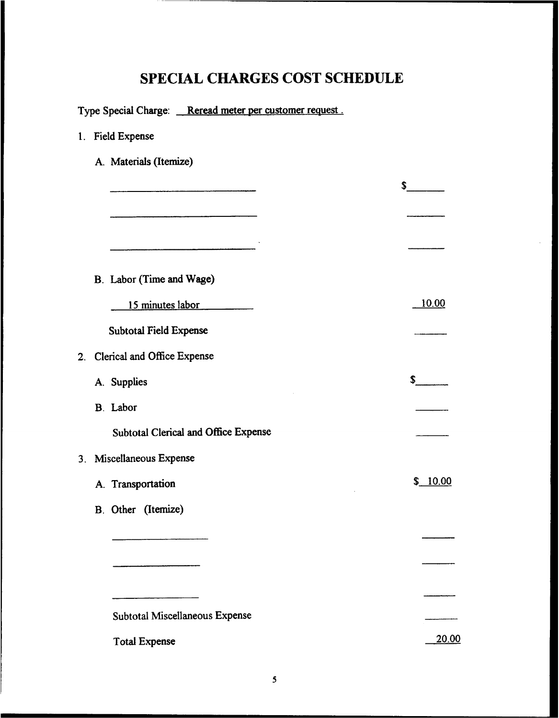|  | Type Special Charge: Reread meter per customer request. |               |
|--|---------------------------------------------------------|---------------|
|  | 1. Field Expense                                        |               |
|  | A. Materials (Itemize)                                  |               |
|  |                                                         | $\sim$        |
|  |                                                         |               |
|  |                                                         |               |
|  |                                                         |               |
|  | B. Labor (Time and Wage)                                |               |
|  | 15 minutes labor                                        | <u> 10.00</u> |
|  | <b>Subtotal Field Expense</b>                           |               |
|  | 2. Clerical and Office Expense                          |               |
|  | A. Supplies                                             | s             |
|  | B. Labor                                                |               |
|  | <b>Subtotal Clerical and Office Expense</b>             |               |
|  | 3. Miscellaneous Expense                                |               |
|  | A. Transportation                                       | \$10.00       |
|  | B. Other (Itemize)                                      |               |
|  |                                                         |               |
|  |                                                         |               |
|  |                                                         |               |
|  | Subtotal Miscellaneous Expense                          |               |
|  | <b>Total Expense</b>                                    | 20.00         |
|  |                                                         |               |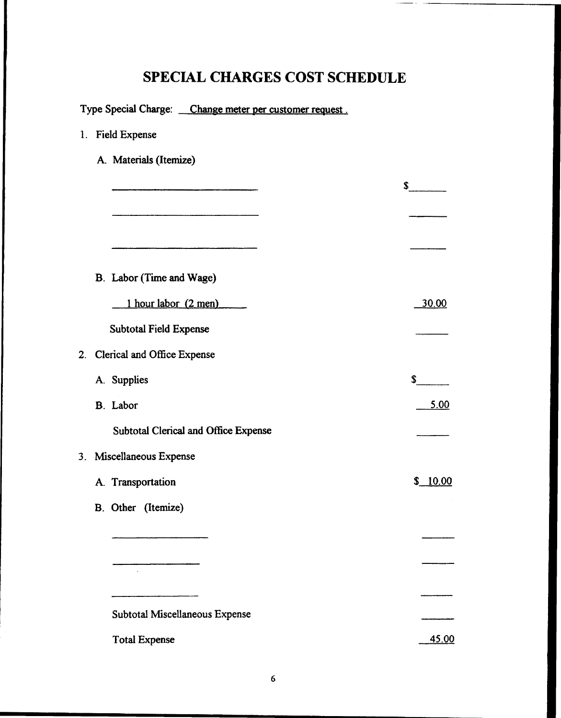| Type Special Charge: Change meter per customer request. |              |
|---------------------------------------------------------|--------------|
| 1. Field Expense                                        |              |
| A. Materials (Itemize)                                  |              |
|                                                         | \$           |
|                                                         |              |
|                                                         |              |
|                                                         |              |
| B. Labor (Time and Wage)                                |              |
| 1 hour labor (2 men)                                    | <u>30.00</u> |
| <b>Subtotal Field Expense</b>                           |              |
| 2. Clerical and Office Expense                          |              |
| A. Supplies                                             | \$           |
| <b>B.</b> Labor                                         | <u>5.00</u>  |
| Subtotal Clerical and Office Expense                    |              |
| 3. Miscellaneous Expense                                |              |
| A. Transportation                                       | \$10.00      |
| B. Other (Itemize)                                      |              |
|                                                         |              |
|                                                         |              |
| $\cdot$                                                 |              |
| Subtotal Miscellaneous Expense                          |              |
|                                                         |              |
| <b>Total Expense</b>                                    | 45.00        |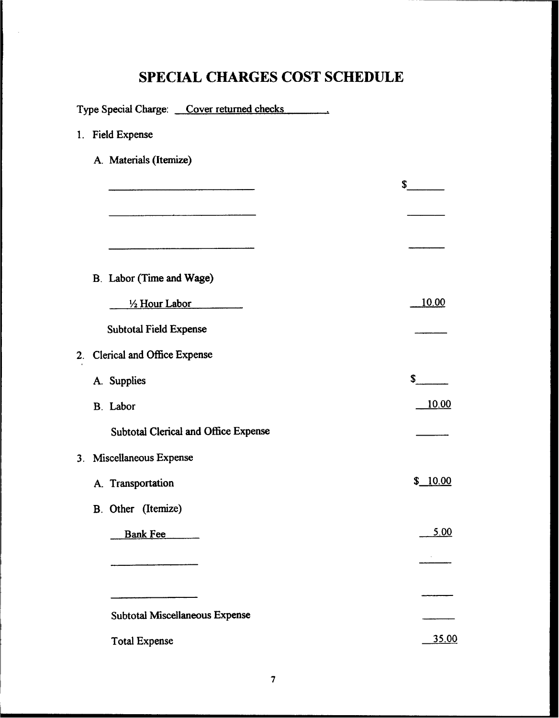| Type Special Charge: Cover returned checks  |              |
|---------------------------------------------|--------------|
| 1. Field Expense                            |              |
| A. Materials (Itemize)                      |              |
|                                             | s            |
|                                             |              |
|                                             |              |
|                                             |              |
| B. Labor (Time and Wage)                    |              |
| $\frac{1}{2}$ Hour Labor                    | <u>10.00</u> |
| <b>Subtotal Field Expense</b>               |              |
| 2. Clerical and Office Expense              |              |
| A. Supplies                                 | \$           |
| B. Labor                                    | <u>10.00</u> |
| <b>Subtotal Clerical and Office Expense</b> |              |
| 3. Miscellaneous Expense                    |              |
| A. Transportation                           | \$ 10.00     |
| B. Other (Itemize)                          |              |
| Bank Fee                                    | 5.00         |
|                                             |              |
|                                             |              |
| Subtotal Miscellaneous Expense              |              |
|                                             |              |
| <b>Total Expense</b>                        | 35.00        |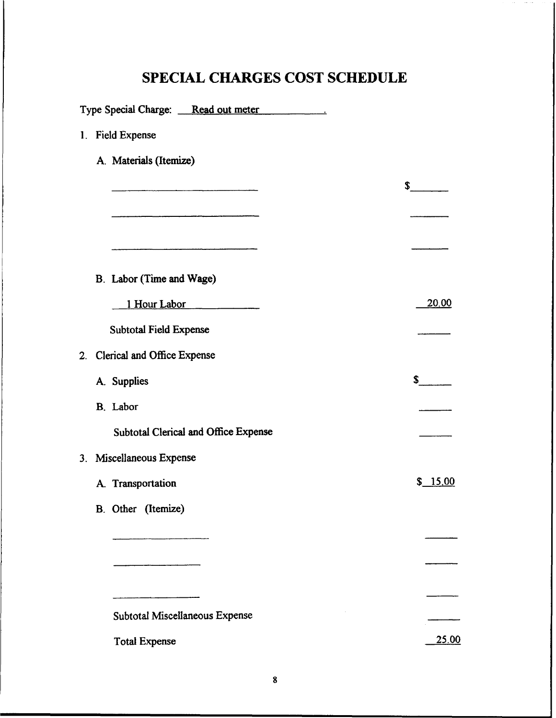|    | Type Special Charge: Read out meter  |              |
|----|--------------------------------------|--------------|
|    | 1. Field Expense                     |              |
|    | A. Materials (Itemize)               |              |
|    |                                      | $\mathbf{s}$ |
|    |                                      |              |
|    |                                      |              |
|    | B. Labor (Time and Wage)             |              |
|    | 1 Hour Labor                         | 20.00        |
|    | <b>Subtotal Field Expense</b>        |              |
| 2. | Clerical and Office Expense          |              |
|    | A. Supplies                          | S.           |
|    | B. Labor                             |              |
|    | Subtotal Clerical and Office Expense |              |
|    | 3. Miscellaneous Expense             |              |
|    | A. Transportation                    | \$ 15.00     |
|    | B. Other (Itemize)                   |              |
|    |                                      |              |
|    |                                      |              |
|    |                                      |              |
|    | Subtotal Miscellaneous Expense       |              |
|    | <b>Total Expense</b>                 | <u>25.00</u> |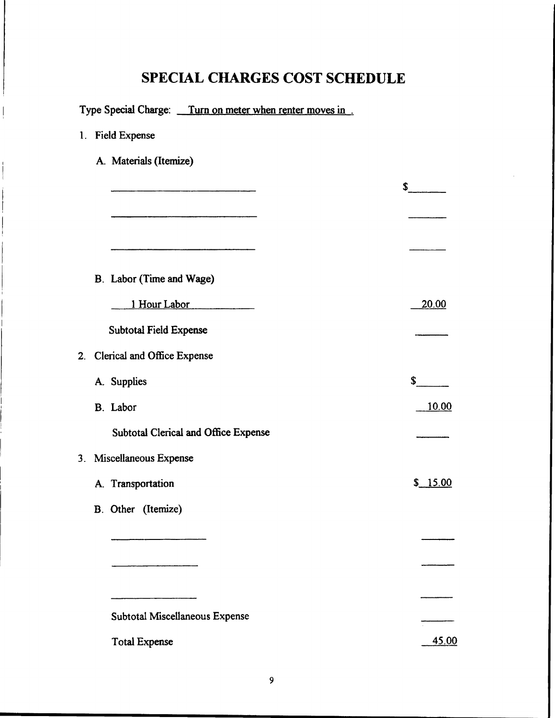|  | Type Special Charge: Turn on meter when renter moves in. |              |
|--|----------------------------------------------------------|--------------|
|  | 1. Field Expense                                         |              |
|  | A. Materials (Itemize)                                   |              |
|  |                                                          | $\sim$       |
|  |                                                          |              |
|  |                                                          |              |
|  |                                                          |              |
|  | B. Labor (Time and Wage)                                 |              |
|  | 1 Hour Labor                                             | 20.00        |
|  | <b>Subtotal Field Expense</b>                            |              |
|  | 2. Clerical and Office Expense                           |              |
|  | A. Supplies                                              | \$           |
|  | B. Labor                                                 | <u>10.00</u> |
|  | <b>Subtotal Clerical and Office Expense</b>              |              |
|  | 3. Miscellaneous Expense                                 |              |
|  | A. Transportation                                        | \$ 15.00     |
|  | B. Other (Itemize)                                       |              |
|  |                                                          |              |
|  |                                                          |              |
|  |                                                          |              |
|  | Subtotal Miscellaneous Expense                           |              |
|  | <b>Total Expense</b>                                     | 45.00        |
|  |                                                          |              |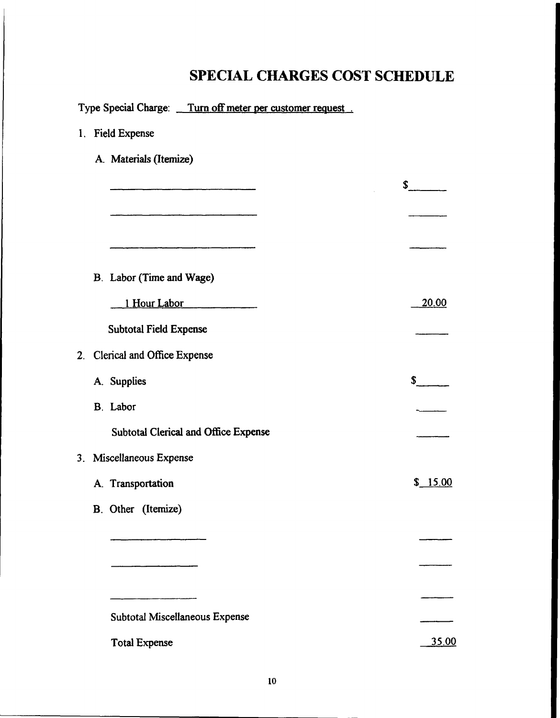|  | Type Special Charge: Turn off meter per customer request. |                                                                                                                                                                                                                                |
|--|-----------------------------------------------------------|--------------------------------------------------------------------------------------------------------------------------------------------------------------------------------------------------------------------------------|
|  | 1. Field Expense                                          |                                                                                                                                                                                                                                |
|  | A. Materials (Itemize)                                    |                                                                                                                                                                                                                                |
|  |                                                           | S and the set of the set of the set of the set of the set of the set of the set of the set of the set of the set of the set of the set of the set of the set of the set of the set of the set of the set of the set of the set |
|  |                                                           |                                                                                                                                                                                                                                |
|  |                                                           |                                                                                                                                                                                                                                |
|  | B. Labor (Time and Wage)                                  |                                                                                                                                                                                                                                |
|  | 1 Hour Labor                                              | <u>20.00</u>                                                                                                                                                                                                                   |
|  | <b>Subtotal Field Expense</b>                             |                                                                                                                                                                                                                                |
|  | 2. Clerical and Office Expense                            |                                                                                                                                                                                                                                |
|  | A. Supplies                                               | $\mathbf{s}$                                                                                                                                                                                                                   |
|  | B. Labor                                                  |                                                                                                                                                                                                                                |
|  | <b>Subtotal Clerical and Office Expense</b>               |                                                                                                                                                                                                                                |
|  | 3. Miscellaneous Expense                                  |                                                                                                                                                                                                                                |
|  | A. Transportation                                         | \$15.00                                                                                                                                                                                                                        |
|  | B. Other (Itemize)                                        |                                                                                                                                                                                                                                |
|  |                                                           |                                                                                                                                                                                                                                |
|  |                                                           |                                                                                                                                                                                                                                |
|  |                                                           |                                                                                                                                                                                                                                |
|  | Subtotal Miscellaneous Expense                            |                                                                                                                                                                                                                                |
|  | <b>Total Expense</b>                                      | <u>35.00</u>                                                                                                                                                                                                                   |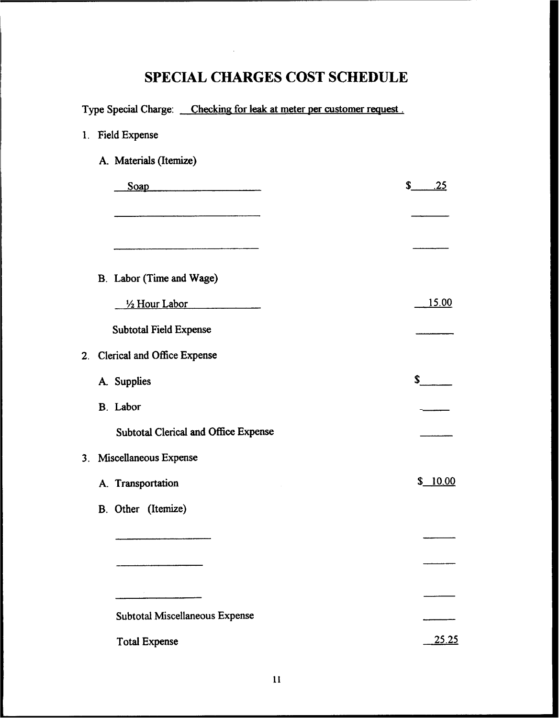|             | Type Special Charge: Checking for leak at meter per customer request. |                     |
|-------------|-----------------------------------------------------------------------|---------------------|
| $1_{\cdot}$ | <b>Field Expense</b>                                                  |                     |
|             | A. Materials (Itemize)                                                |                     |
|             | $\begin{array}{c}\n\text{Soap} \\ \hline\n\end{array}$                | $\mathbf{s}$<br>.25 |
|             |                                                                       |                     |
|             |                                                                       |                     |
|             |                                                                       |                     |
|             | B. Labor (Time and Wage)                                              |                     |
|             | $\frac{1}{2}$ Hour Labor                                              | <u>15.00</u>        |
|             | <b>Subtotal Field Expense</b>                                         |                     |
|             | 2. Clerical and Office Expense                                        |                     |
|             | A. Supplies                                                           | s                   |
|             | B. Labor                                                              |                     |
|             | <b>Subtotal Clerical and Office Expense</b>                           |                     |
|             | 3. Miscellaneous Expense                                              |                     |
|             | A. Transportation                                                     | \$10.00             |
|             | B. Other (Itemize)                                                    |                     |
|             |                                                                       |                     |
|             |                                                                       |                     |
|             |                                                                       |                     |
|             |                                                                       |                     |
|             | <b>Subtotal Miscellaneous Expense</b>                                 |                     |
|             | <b>Total Expense</b>                                                  | <u>25.25</u>        |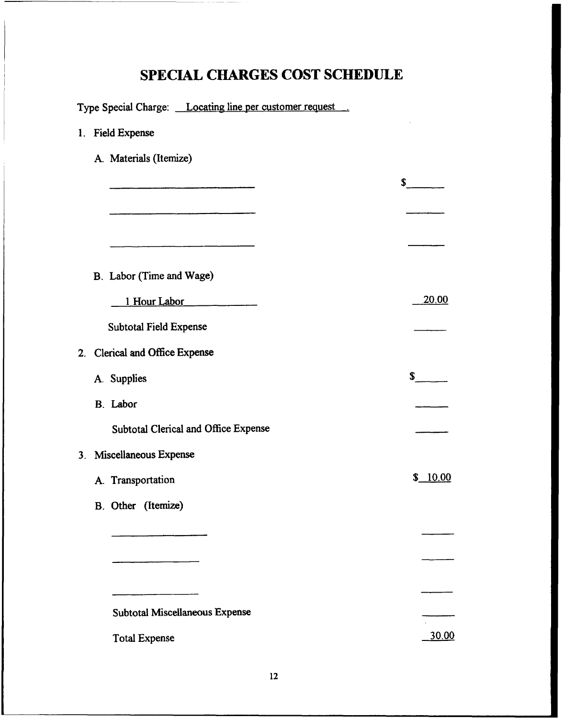|  | Type Special Charge: Locating line per customer request. |              |
|--|----------------------------------------------------------|--------------|
|  | 1. Field Expense                                         |              |
|  | A. Materials (Itemize)                                   |              |
|  |                                                          | $\mathbf{s}$ |
|  |                                                          |              |
|  |                                                          |              |
|  |                                                          |              |
|  | B. Labor (Time and Wage)                                 |              |
|  | 1 Hour Labor                                             | <u>20.00</u> |
|  | <b>Subtotal Field Expense</b>                            |              |
|  | 2. Clerical and Office Expense                           |              |
|  | A. Supplies                                              | s            |
|  | B. Labor                                                 |              |
|  | Subtotal Clerical and Office Expense                     |              |
|  | 3. Miscellaneous Expense                                 |              |
|  | A. Transportation                                        | \$10.00      |
|  | <b>B.</b> Other (Itemize)                                |              |
|  |                                                          |              |
|  |                                                          |              |
|  |                                                          |              |
|  | Subtotal Miscellaneous Expense                           |              |
|  | <b>Total Expense</b>                                     | 30.00        |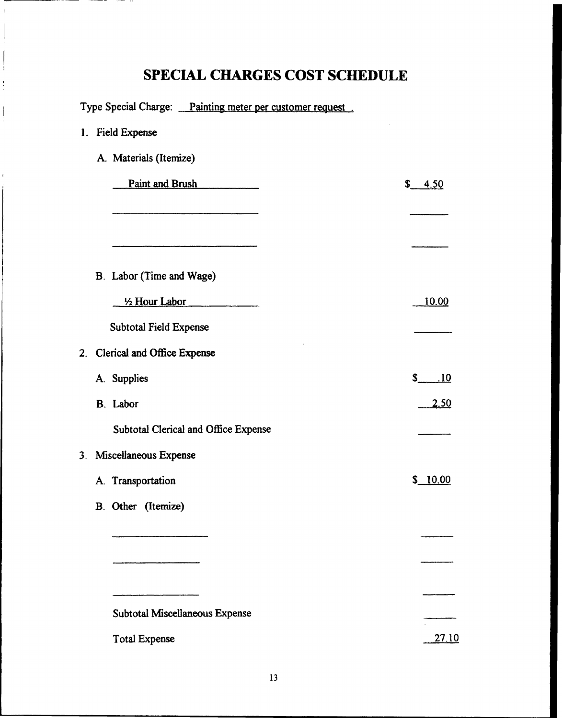. –

 $\frac{1}{3}$ 

 $\sim$   $\sim$   $\sim$   $\sim$   $\sim$   $\sim$   $\sim$ 

|    | Type Special Charge: Painting meter per customer request. |             |
|----|-----------------------------------------------------------|-------------|
| 1. | <b>Field Expense</b>                                      |             |
|    | A. Materials (Itemize)                                    |             |
|    | Paint and Brush                                           | \$ 4.50     |
|    |                                                           |             |
|    |                                                           |             |
|    |                                                           |             |
|    | B. Labor (Time and Wage)                                  |             |
|    | $\frac{1}{2}$ Hour Labor                                  | 10.00       |
|    | Subtotal Field Expense                                    |             |
|    | 2. Clerical and Office Expense                            |             |
|    | A. Supplies                                               | $$-.10$     |
|    | B. Labor                                                  | <u>2.50</u> |
|    | Subtotal Clerical and Office Expense                      |             |
|    | 3. Miscellaneous Expense                                  |             |
|    | A. Transportation                                         | \$10.00     |
|    | B. Other (Itemize)                                        |             |
|    |                                                           |             |
|    |                                                           |             |
|    |                                                           |             |
|    | Subtotal Miscellaneous Expense                            |             |
|    |                                                           |             |
|    | <b>Total Expense</b>                                      | 27.10       |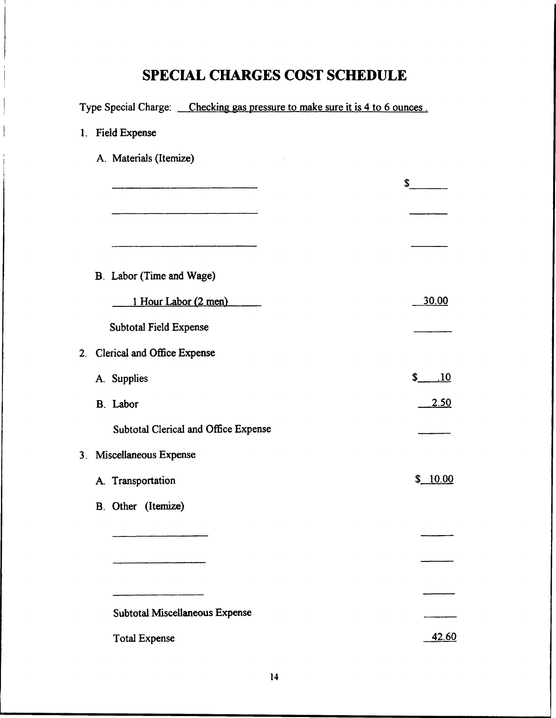| Type Special Charge: Checking gas pressure to make sure it is 4 to 6 ounces. |                     |
|------------------------------------------------------------------------------|---------------------|
| 1. Field Expense                                                             |                     |
| A. Materials (Itemize)                                                       |                     |
|                                                                              | $s_{-}$             |
|                                                                              |                     |
|                                                                              |                     |
|                                                                              |                     |
| B. Labor (Time and Wage)                                                     |                     |
| 1 Hour Labor (2 men)                                                         | 30.00               |
| <b>Subtotal Field Expense</b>                                                |                     |
| 2. Clerical and Office Expense                                               |                     |
| A. Supplies                                                                  | $\mathbf{s}$<br>.10 |
| <b>B.</b> Labor                                                              | <u>2.50</u>         |
| Subtotal Clerical and Office Expense                                         |                     |
| 3. Miscellaneous Expense                                                     |                     |
| A. Transportation                                                            | \$10.00             |
| B. Other (Itemize)                                                           |                     |
|                                                                              |                     |
|                                                                              |                     |
|                                                                              |                     |
| <b>Subtotal Miscellaneous Expense</b>                                        |                     |
| <b>Total Expense</b>                                                         | 42.60               |
|                                                                              |                     |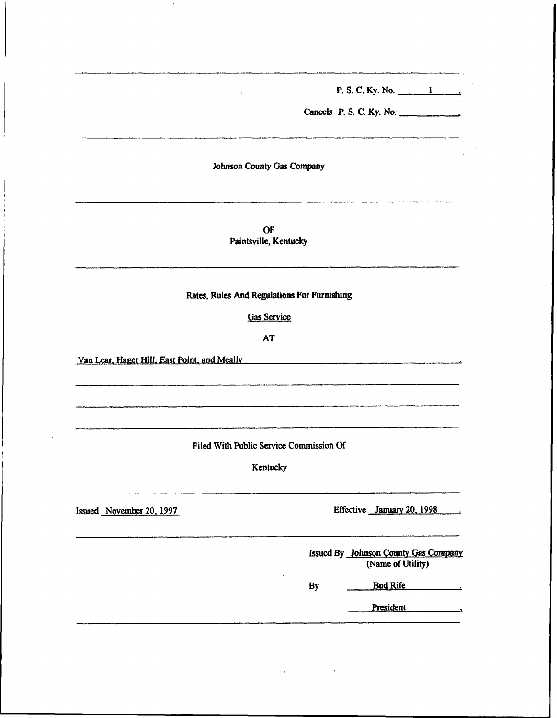P, S. C. Ky. No.

Cancels P. S. C. Ky. No.

Johnson County Gas Company

OF Paintsville, Kentucky

Rates, Rules And Regulations For Furnishing

Gas Service

AT

 $\sim 10^{-1}$ 

Van Lear. Hager Hill. East Point. and Meally New York Contract the Mean Structure of the Mean Structure of the Mean Structure of the Mean Structure of the Mean Structure of the Mean Structure of the Mean Structure of the M

Filed With Public Service Commission Of

Kentucky

Issued November 20, 1997 Effective January 20, 1998

Issued By Johnson County Gas Company (Name of Utility)

Bud Rife By

President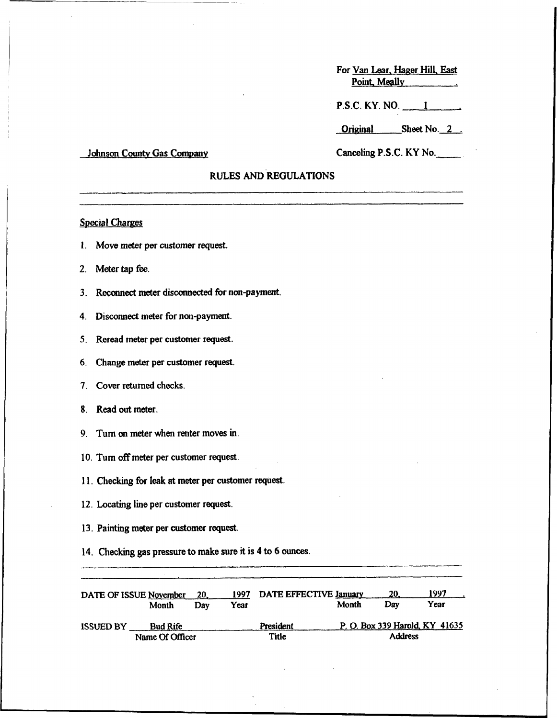For Van Lear, Hager Hill, East Point. Meally

P.S.C. KY. NO. 1

Original Sheet No. 2.

#### Johnson County Gas Company

### Canceling P.S.C.KY No.

### RULES AND REGULATIONS

### **Special Charges**

- 1. Move meter per customer request.
- 2, Meter tap fee.
- 3. Reconnect meter disconnected for non-payment.
- 4. Disconnect meter for non-payment.
- 5. Reread meter per customer request.
- 6. Change meter per customer request.
- 7. Cover returned checks.
- S. Read out meter.
- 9. Tum on meter when renter moves in.
- 10. Tum off meter per customer request.
- 11. Checking for leak at meter per customer request.
- 12. Locating line per customer request.
- 13. Painting meter per customer request.
- 14. Checking gas pressure to make sure it is 4 to 6 ounces.

| DATE OF ISSUE November | Month                              | 20.<br>Dav | 1997<br>Year | DATE EFFECTIVE January | Month | 20.<br>Dav     | 1997<br>Year                   |
|------------------------|------------------------------------|------------|--------------|------------------------|-------|----------------|--------------------------------|
| <b>ISSUED BY</b>       | <b>Bud Rife</b><br>Name Of Officer |            |              | President<br>Title     |       | <b>Address</b> | P. O. Box 339 Harold, KY 41635 |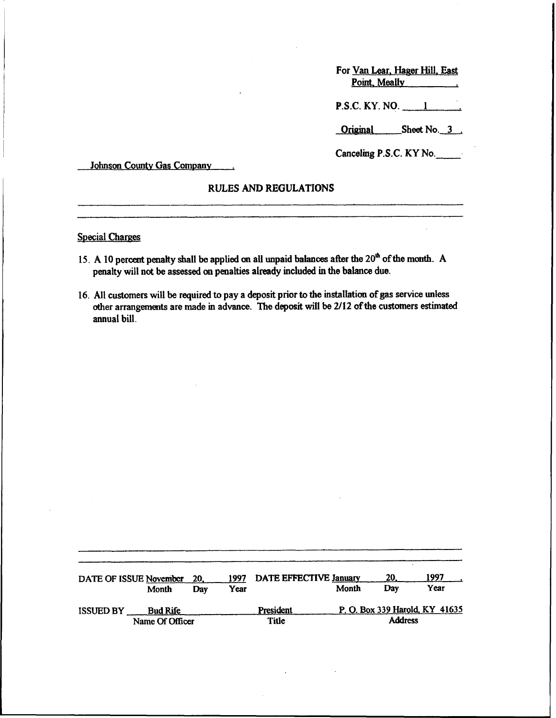| For Van Lear, Hager Hill, East |  |
|--------------------------------|--|
| Point, Meally                  |  |
| $P.S.C.$ KY. NO. $\_\_$        |  |

Original Sheet No. 3.

Canceling P.S.C. KY No.

Johnson County Gas Company

### RULES AND REGULATIONS

**Special Charges** 

- 15. A 10 percent penalty shall be applied on all unpaid balances after the  $20<sup>th</sup>$  of the month. A penalty will not be assessed on penalties already included in the balance due.
- 16. All customers will be required to pay a deposit prior to the installation of gas service unless other arrangements are made in advance. 'Ihe deposit will be 2/12 ofthe customers estimated annual bill.

| DATE OF ISSUE November |                          | 20. | 1997 | DATE EFFECTIVE January | Month          | 20.<br>Dav | 1997<br>Year                   |
|------------------------|--------------------------|-----|------|------------------------|----------------|------------|--------------------------------|
| <b>ISSUED BY</b>       | Month<br><b>Bud Rife</b> | Dav | Year | President              |                |            | P. O. Box 339 Harold, KY 41635 |
|                        | Name Of Officer          |     |      | Title                  | <b>Address</b> |            |                                |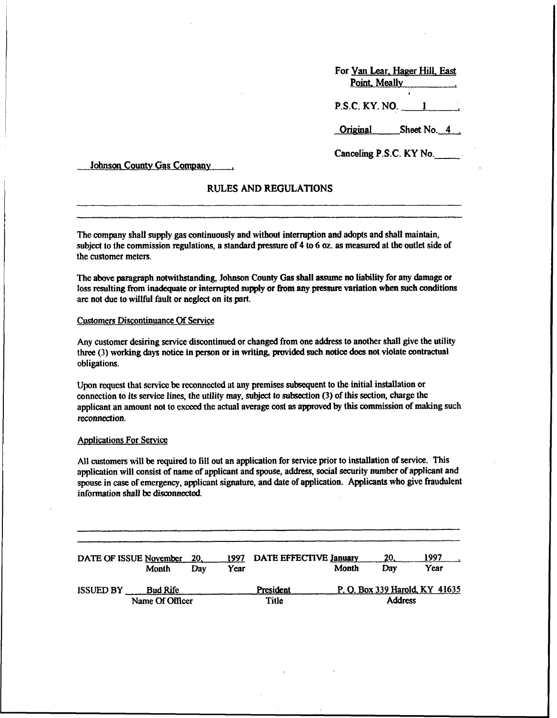| For Yan Lear, Hager Hill, East |
|--------------------------------|
| Point, Meally                  |
|                                |

P.S.C. KY. NO. 1

Original Sheet No. 4.

Canceling P.S.C.KY No.

Johnson County Gas Company

### RULES AND REGULATIONS

The company shall supply gas continuously and without intenuption and adopts and shall maintain, subject to the commission regulations, a standard pressure of  $4$  to  $6$  oz. as measured at the outlet side of the customer meters.

The above paragraph notwithstanding, Johnson County Gas shall assume no liability for any damage or loss resulting from inadequate or interrupted supply or from any pressure variation when such conditions are not due to willful fault or neglect on its part.

#### Customers Discontinuance Of Service

Any customer desiring service discontinued or changed from one address to another shall give the utility three (3) working days notice in person or in writing, provided such notice does not violate contractual obligations.

Upon request that service be reconnected at any premises subsequent to the initial installation or connection to its service lines, the utility may, subject to subsection (3) ofthis section, charge the applicant an amount not to exceed the actual average cost as approved by this commission of making such reconnection.

#### **Applications For Service**

All customers will be required to fill out an application for service prior to installation of service. This application will consist of name of applicant and spouse, address, social security number of applicant and spouse in case of emergency, applicant signature, and date of application. Applicants who give fraudulent information shall be disconnected.

| DATE OF ISSUE November |                 |                 | 20. | 1997 | DATE EFFECTIVE January  |       | 20. | 1997                           |
|------------------------|-----------------|-----------------|-----|------|-------------------------|-------|-----|--------------------------------|
|                        |                 | Month           | Dav | Year |                         | Month | Dav | Year                           |
| <b>ISSUED BY</b>       |                 | <b>Bud Rife</b> |     |      | President               |       |     | P. O. Box 339 Harold, KY 41635 |
|                        | Name Of Officer |                 |     |      | <b>Address</b><br>Title |       |     |                                |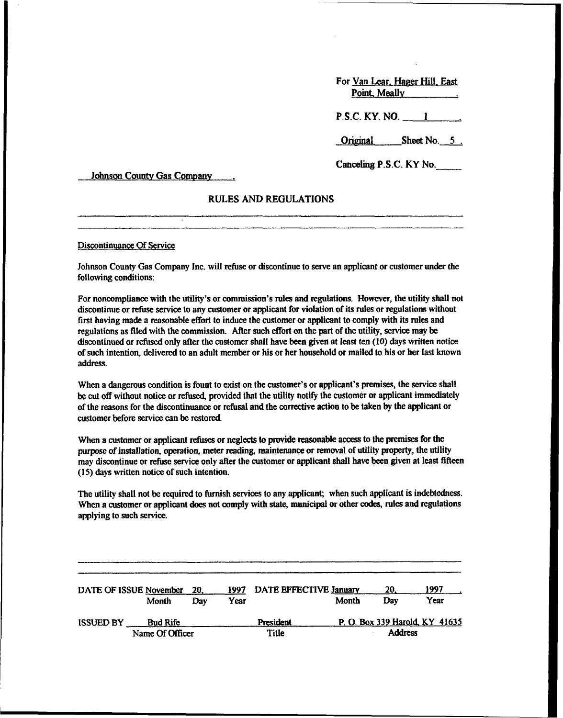For Van Lear. Hager Hill. East Point. Meally P.S.C. KY. NO. 1

Original Sheet No. 5.

Canceling P.S.C.KY No.

Johnson County Gas Company ...

#### RULES AND REGULATIONS

Discontinuance Of Service

Johnson County Gas Company Inc. will refuse or discontinue to serve an apphcant or customer under the following conditions:

For noncompliance with the utility's or commission's rules and regulations. However, the utility shall not discontinue or refuse service to any customer or applicant for violation of its rules or regulations without first having made a reasonable effort to induce the customer or applicant to comply with its rules and regulations as filed with the commission. After such effort on the part of the utility, service may be discontinued or refused only after the customer shall have been given at least ten (10) days written notice of such intention, delivered to an adult member or his or her household or mailed to his or her last known address.

When a dangerous condition is fount to exist on the customer's or applicant's premises, the service shall be cut off without notice or refused, provided that the utility notify the customer or applicant immediately ofthe reasons for the discontinuance or refusal and the corrective action to be taken by the applicant or customer before service can be restored.

When a customer or applicant refuses or neglects to provide reasonable access to the premises for the purpose of installation, operation, meter reading, maintenance or removal of utility property, the utility may discontinue or refuse service only after the customer or applicant shall have been given at least fifteen (15) days written notice of such intention.

The utility shall not be required to furnish services to any applicant; when such applicant is indebtedness. When a customer or applicant does not comply with state, municipal or other codes, rules and regulations applying to such service.

|                  | DATE OF ISSUE November | 20. | 1997 | DATE EFFECTIVE January |       | 20.                            | 1997 |  |
|------------------|------------------------|-----|------|------------------------|-------|--------------------------------|------|--|
|                  | Month                  | Dav | Year |                        | Month | Dav                            | Year |  |
| <b>ISSUED BY</b> | <b>Bud Rife</b>        |     |      | President              |       | P. O. Box 339 Harold, KY 41635 |      |  |
|                  | Name Of Officer        |     |      | Title                  |       | <b>Address</b>                 |      |  |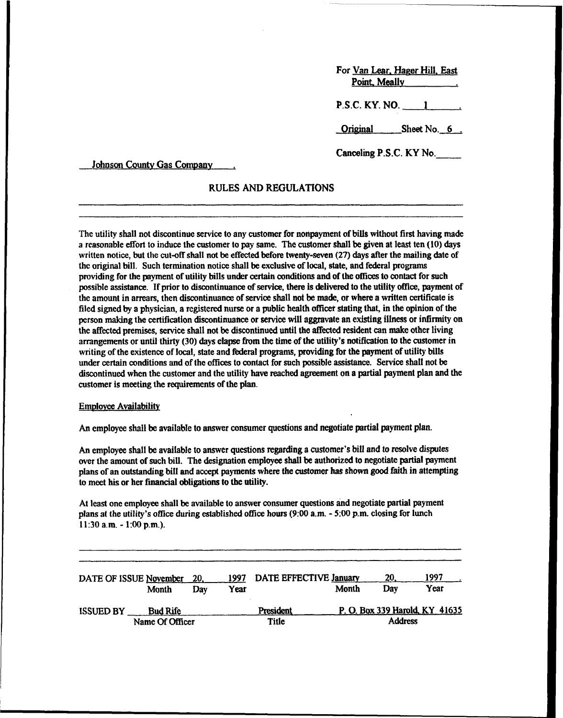| For Van Lear, Hager Hill, East<br>Point, Meally |                         |  |  |  |  |
|-------------------------------------------------|-------------------------|--|--|--|--|
|                                                 | P.S.C. KY. NO. <u>1</u> |  |  |  |  |
|                                                 | Original Sheet No. 6.   |  |  |  |  |
| Canceling P.S.C. KY No.                         |                         |  |  |  |  |

Johnson County Gas Company

### RULES AND REGULATIONS

The utility shall not discontinue service to any customer for nonpayment of bills without first having made a reasonable effort to induce the customer to pay same. The customer shall be given at least ten (10) days written notice, but the cut-off shall not be effected before twenty-seven (27) days after the mailing date of the original bill. Such termination notice shall be exclusive of local, state, and federal programs providing for the payment of utility bills under certain conditions and of the offices to contact for such possible assistance. If prior to discontinuance of service, there is delivered to the utility office, payment of the amount in arrears, then discontinuance of service shall not be made, or where a written certificate is filed signed by a physician, a registered nurse or a public health officer stating that, in the opinion of the person making the certification discontinuance or service will aggravate an existing illness or infirmity on the affbcted premises, service shall not be discontinued until the affected resident can make other living arrangements or until thirty (30) days elapse from the time of the utility's notification to the customer in writing of the existence of local, state and federal programs, providing for the payment of utility bills under certain conditions and of the offices to contact for such possible assistance. Service shall not be discontinued when the customer and the utility have reached agreement on a partial payment plan and the customer is meeting the requirements of the plan.

#### **Employee Availability**

An employee shall be available to answer consumer questions and negotiate partial payment plan.

An employee shall be available to answer questions regarding a customer's biII and to resolve disputes over the amount of such bill. The designation employee shall be authorized to negotiate partial payment plans of an outstanding bill and accept payments where the customer has shown good faith in attempting to meet his or her financial obligations to the utility.

At least one employee shall be available to answer consumer questions and negotiate partial payment plans at the utility's office during established office hours (9:00 a.m. - 5:00 p.m. closing for lunch 11:30a.m. - I:00p.m.).

| DATE OF ISSUE November |                 | 20. | 1997 | DATE EFFECTIVE January |       | 20.            | 1997                           |
|------------------------|-----------------|-----|------|------------------------|-------|----------------|--------------------------------|
|                        | Month           | Dav | Year |                        | Month | Dav            | Year                           |
| <b>ISSUED BY</b>       | <b>Bud Rife</b> |     |      | President              |       |                | P. O. Box 339 Harold, KY 41635 |
|                        | Name Of Officer |     |      | <b>Title</b>           |       | <b>Address</b> |                                |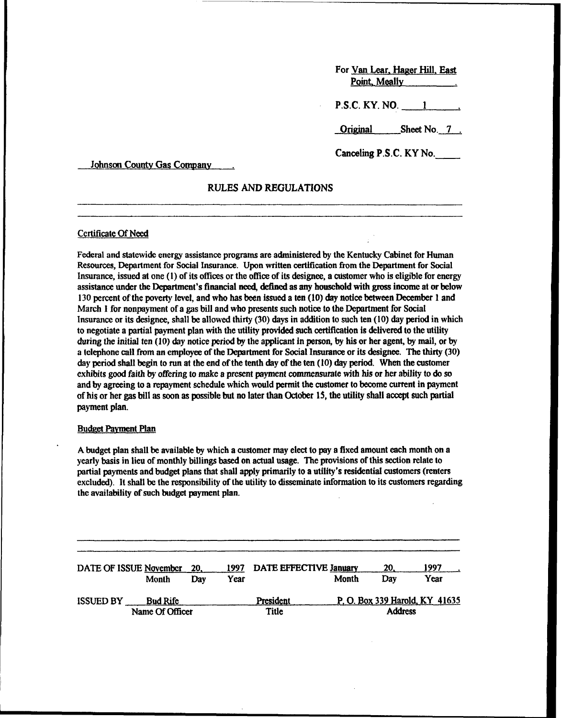| For Van Lear, Hager Hill, East |                       |  |  |  |  |
|--------------------------------|-----------------------|--|--|--|--|
|                                | $P.S.C. KY. NO.$ 1    |  |  |  |  |
|                                | Original Sheet No. 7. |  |  |  |  |
| Canceling P.S.C. KY No.        |                       |  |  |  |  |

Johnson County Gas Company

### RULES AND REGULATIONS

#### Certificate Of Need

Federal and statewide energy assistance programs are administered by the Kentucky Cabinet fot Human Resources, Department for Social Insurance. Upon written certification from the Department for Social Insurance, issued at one  $(1)$  of its offices or the office of its designee, a customer who is eligible for energy assistance under the Department's financial need, defined as any household with gross income at or below 130 percent ofthe poverty level, and who has been issued a ten (10) day notice between Decembet I and March I for nonpayment of a gas bill and who presents such notice to the Department for Social Insurance or its designee, shall be allowed thirty (30) days in addition to such ten (10) day period in which to negotiate a partial payment plan with the utility provided such certification is delivered to the utility during the initial ten (10) day notice period by the applicant in person, by his or her agent, by mail, or by a telephone call from an employee ofthe Department for Social Insurance or its designee. The thirty (30) day period shall begin to run at the end of the tenth day of the ten (10) day period. When the customer exhibits good faith by offering to make a present payment commensurate with his or her ability to do so and by agreeing to a repayment schedule which would permit the customer to become curtent in payment of his or her gas bill as soon as possible but no later than October 15, the utility shall accept such partial payment plan.

#### **Budget Payment Plan**

A budget plan shall be available by which a customer may elect to pay a fixed amount each month on a yearly basis in lieu of monthly billings based on actual usage. The provisions of this section relate to partial payments and budget plans that shall apply primarily to a utility's residential customers (renters excluded). It shall be the responsibility of the utility to disseminate information to its customers regarding the availability of such budget payment plan.

|                  | DATE OF ISSUE November | 20. | 1997 | DATE EFFECTIVE January  |       | 20. | 1997                           |
|------------------|------------------------|-----|------|-------------------------|-------|-----|--------------------------------|
|                  | Month                  | Dav | Year |                         | Month | Dav | Year                           |
| <b>ISSUED BY</b> | <b>Bud Rife</b>        |     |      | President               |       |     | P. O. Box 339 Harold, KY 41635 |
|                  | Name Of Officer        |     |      | <b>Address</b><br>Title |       |     |                                |